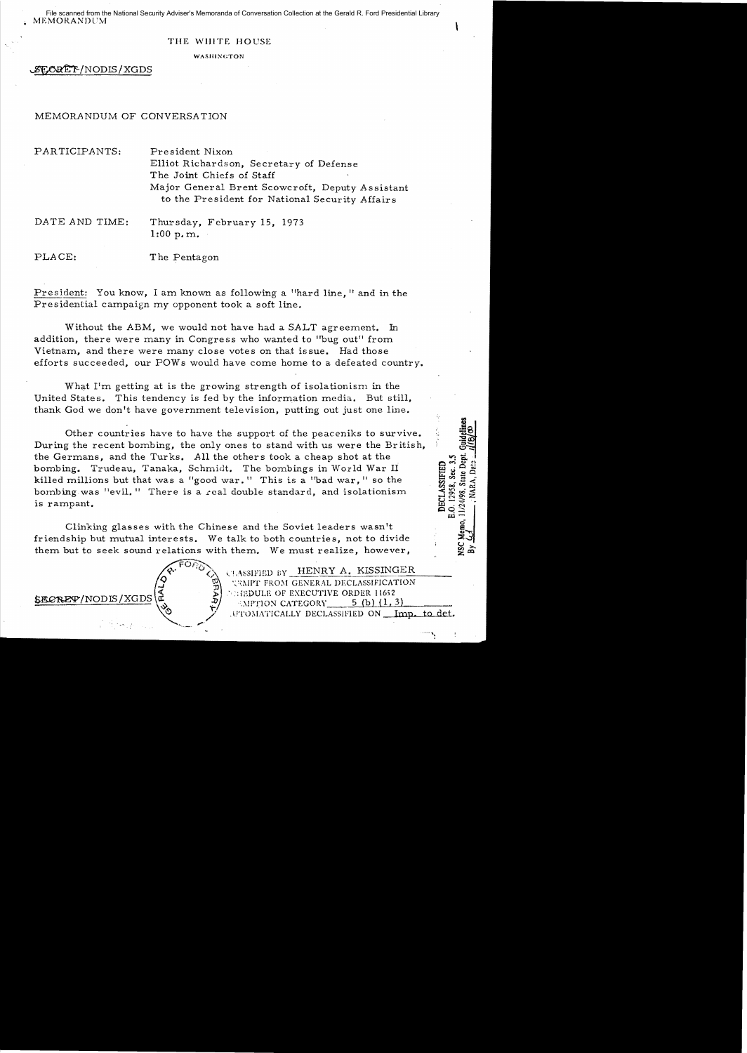MEMORANDUM File scanned from the National Security Adviser's Memoranda of Conversation Collection at the Gerald R. Ford Presidential Library

#### THE WHITE HOUSE

WASHINGTON

~/NODIS/XGDS

#### MEMORANDUM OF CONVERSATION

PARTICIPANTS: President Nixon Elliot Richardson, Secretary of Defense The Joint Chiefs of Staff Major General Brent Scowcroft, Deputy Assistant to the President for National Security Affairs

DATE AND TIME: Thursday, February 15, 1973 1:00 p. m.

PLACE: The Pentagon

President: You know, I am known as following a "hard line," and in the Presidential campaign my opponent took a soft line.

Without the ABM, we would not have had a SALT agreement. In addition, there were many in Congress who wanted to "bug out" from Vietnam, and there were many close votes on that issue. Had those efforts succeeded, our POWs would have come home to a defeated country.

What  $\Gamma$ m getting at is the growing strength of isolationism in the United States. This tendency is fed by the information media. But still, thank God we don't have government television, putting out just one line.

Other countries have to have the support of the peaceniks to survive. During the recent bombing, the only ones to stand with us were the British, the Germans, and the Turks. All the others took a cheap shot at the bombing. Trudeau, Tanaka, Schmidt. The bombings in World War II killed millions but that was a "good war." This is a "bad war," so the bombing was "evil." There is a real double standard, and isolationism is rampant.

Clinking glasses with the Chinese and the Soviet leaders wasn't friendship but mutual interests. We talk to both countries, not to divide them but to seek sound relations with them. We must realize, however,

FOJ~',.

 $C$ <sup>[</sup> AssiFIED BY HENRY A. KISSINGER JUMPT FROM GENERAL DECLASSIFICATION **SECRET/NODIS/XGDS**  $\begin{pmatrix} 2 & 0 & 0 \ 3 & 1 & 0 \ 2 & 2 & 0 \end{pmatrix}$  ... The pull of executive order 11652  $\begin{pmatrix} 2 & 0 \ 0 & 0 & 0 \end{pmatrix}$  ... Executive order 11652 .UTOMATICALLY DECLASSIFIED ON Imp. to det.

DECLASSIFIEI O. 12958, Sec. /24/98,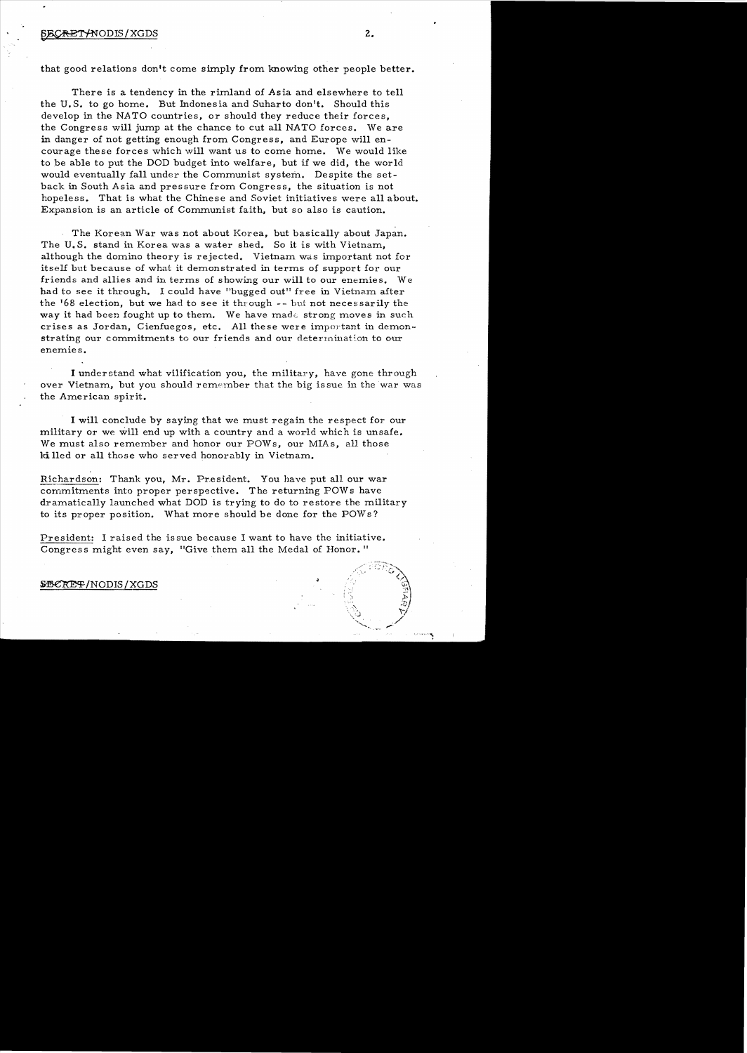that good relations don't come simply from knowing other people better.

There is a tendency in the rimland of Asia and elsewhere to tell the U.S. to go horne. But Indonesia and Suharto don't. Should this develop in the NATO countries, or should they reduce their forces, the Congress will jump at the chance to cut all NATO forces. We are in danger of not getting enough from Congress. and Europe will encourage these forces which will want us to come home. We would like to be able to put the DOD budget into welfare, but if we did, the world would eventually fall under the Communist system. Despite the setback in South Asia and pressure from Congress, the situation is not hopeless. That is what the Chinese and Soviet initiatives were all about. Expansion is an article of Communist faith, but so also is caution.

The Korean War was not about Korea, but basically about Japan. The U. S. stand in Korea was a water shed. So it is with Vietnam, although the domino theory is rejected. Vietnam was important not for itself but because of what it demonstrated in terms of support for our friends and allies and in terms of showing our will to our enemies. We had to see it through. I could have "bugged out" free in Vietnam after the '68 election, but we had to see it through  $-$ - but not necessarily the way it had been fought up to them. We have made strong moves in such crises as Jordan, Cienfuegos, etc. All these were important in demonstrating our commitments to our friends and our determination to our enemies.

I understand what vilification you, the military, have gone through over Vietnam, but you should remember that the big is sue in the war was the American spirit.

I will conclude by saying that we must regain the respect for our military or we will end up with a country and a world which is unsafe. We must also remember and honor our POWs, our MIAs, all those ki lIed or all those who served honorably in Vietnam.

Richardson: Thank you, Mr. President. You have put all our war commitments into proper perspective. The returning POWs have dramatically launched what DOD is trying to do to restore the military to its proper position. What more should be done for the POWs?

President: I raised the is sue because I want to have the initiative. Congress might even say, "Give them all the Medal of Honor. "

#### ~/NODIS/XGDS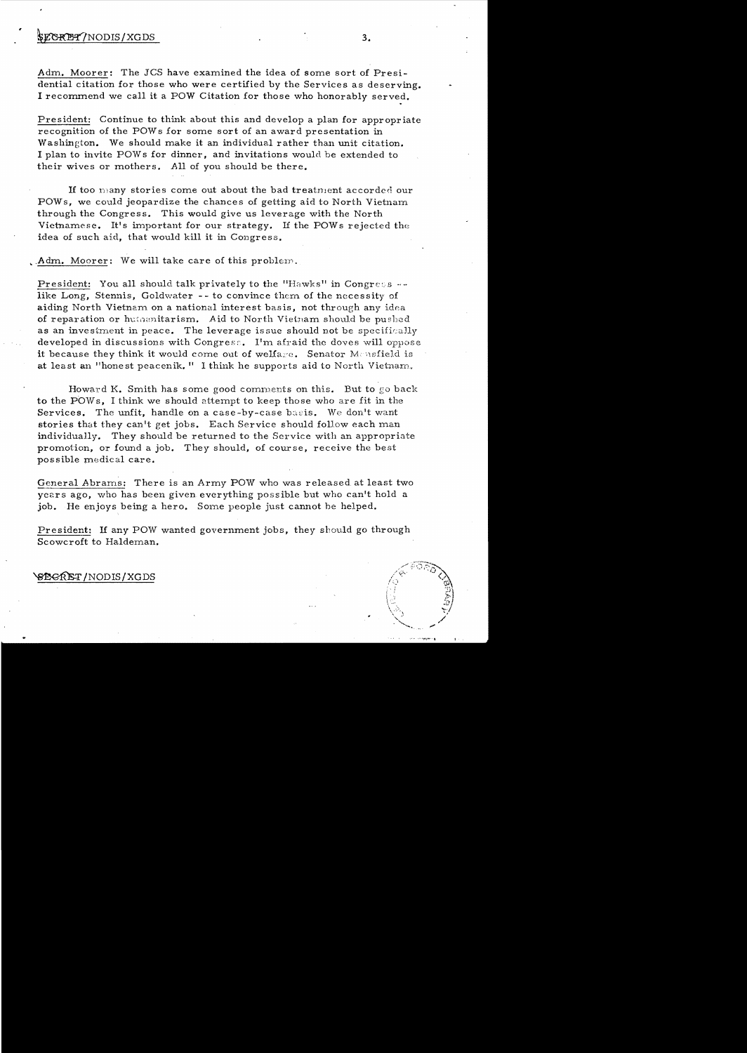### $$ECKB2$ /NODIS/XGDS  $3.$

Adm. Moorer: The JCS have examined the idea of some sort of Presidential citation for those who were certified by the Services as deserving. I recommend we call it a POW Citation for those who honorably served.

President: Continue to think about this and develop a plan for appropriate recognition of the POW s for some sort of an award presentation in Washington. We should make it an individual rather than unit citation. I plan to invite POWs for dinner, and invitations would be extended to their wives or mothers. All of you should be there.

If too many stories come out about the bad treatment accorded our POWs, we could jeopardize the chances of getting aid to North Vietnam through the Congress. This would give us leverage with the North Vietnamese. It's important for our strategy. If the POWs rejected the idea of such aid, that would kill it in Congress.

 $\Lambda$ dm. Moorer: We will take care of this problem.

President: You all should talk privately to the "Hawks" in Congress  $-$ like Long, Stennis, Goldwater -- to convince them of the necessity of aiding North Vietnam on a national interest basis, not through any idea of reparation or humanitarism. Aid to North Vietnam should be pushed as an investment in peace. The leverage issue should not be specifically developed in discussions with Congress. I'm afraid the doves will oppose it because they think it would come out of welfare. Senator Mensfield is at least an "honest peacenik." I think he supports aid to North Vietnam.

Howard K. Smith has some good comments on this. But to go back to the POWs, I think we should attempt to keep those who are fit in the Services. The unfit, handle on a case-by-case basis. We don't want stories that they can't get jobs. Each Service should follow each man individually. They should be returned to the Service with an appropriate promotion. or found a job. They should. of course. receive the best possible medical care.

General Abrams: There is an Army POW who was released at least two years ago, who has been given everything possible but who can't hold a job. He enjoys being a hero. Some people just cannot be helped.

President: If any POW wanted government jobs, they should go through Scowcroft to Haldeman.

#### ~/NODIS/XGDS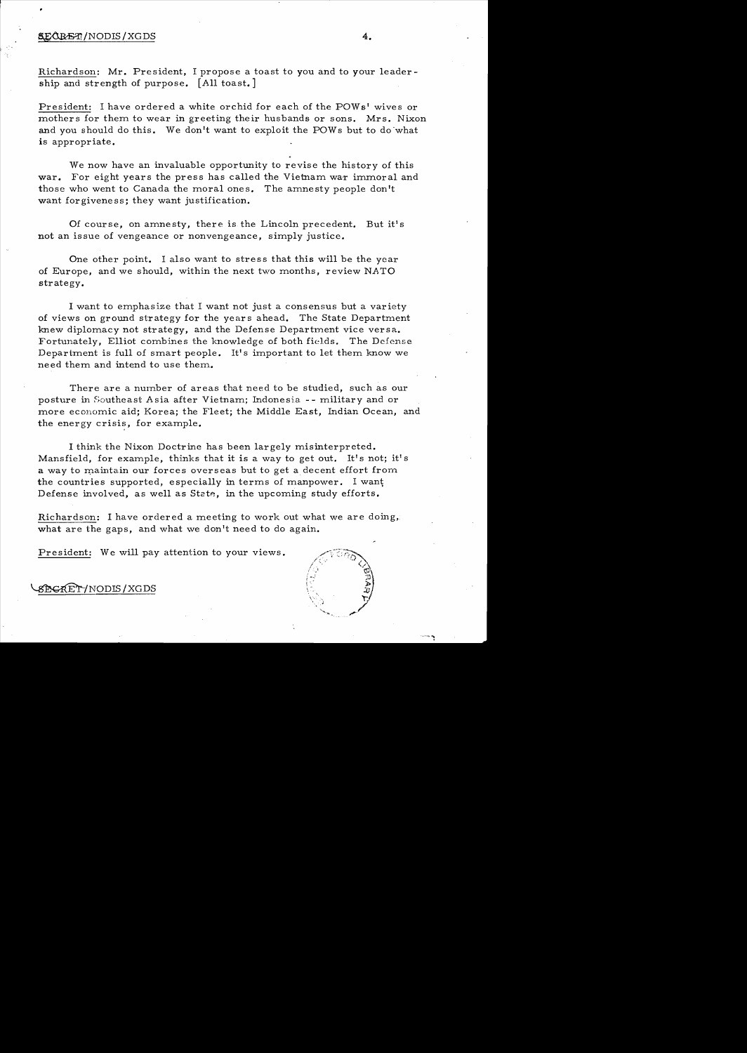#### ~/NODIS/XGDS **4.**

Richardson: Mr. President, I propose a toast to you and to your leadership and strength of purpose. [All toast. ]

President: I have ordered a white orchid for each of the POWs' wives or mothers for them to wear in greeting their husbands or sons. Mrs. Nixon and you should do this. We don't want to exploit the POWs but to do what is appropriate.

We now have an invaluable opportunity to revise the history of this war. For eight years the press has called the Vietnam war immoral and those who went to Canada the moral ones. The amnesty people don't want forgiveness; they want justification.

Of course, on amnesty, there is the Lincoln precedent. But it's not an issue of vengeance or nonvengeance, simply justice.

One other point. I also want to stress that this will be the year of Europe, and we should, within the next two months, review NATO strategy.

I want to emphasize that I want not just a consensus but a variety of views on ground strategy for the year s ahead. The State Department knew diplomacy not strategy, and the Defense Department vice versa. Fortunately, Elliot combines the knowledge of both fields. The Defense Department is full of smart people. It's important to let them know we need them and intend to use them.

There are a number of areas that need to be studied, such as our posture in Southeast Asia after Vietnam; Indonesia - - military and or more economic aid; Korea; the Fleet; the Middle East, Indian Ocean, and the energy crisis, for example.

I think the Nixon Doctrine has been largely misinterpreted. Mansfield, for example, thinks that it is a way to get out. It's not; it's a way to maintain our forces overseas but to get a decent effort from. the countries supported, especially in terms of manpower. I want Defense involved, as well as State, in the upcoming study efforts.

Richardson: I have ordered a meeting to work out what we are doing, what are the gaps, and what we don't need to do again.

President: We will pay attention to your views.



8 EGRET / NODIS / XGDS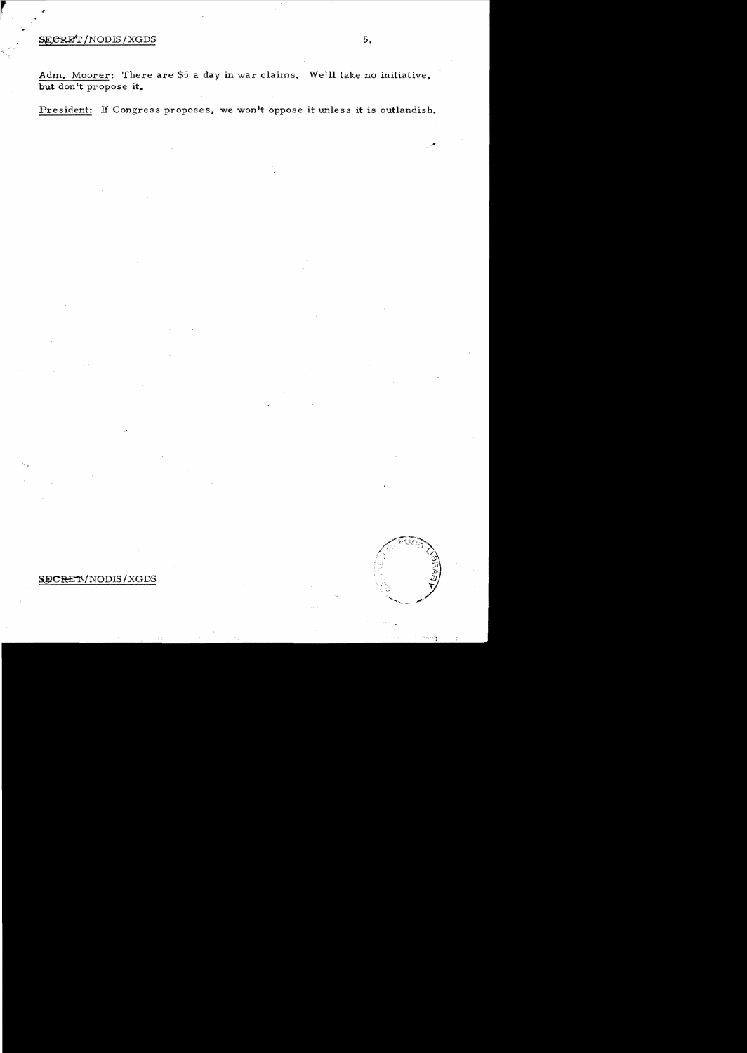#### ${{\rm SE}}{{\rm C}}{{\rm R}}{{\rm E}^{\prime}}$  / NODIS/XGDS 5.

Adm. Moorer: There are \$5 a day in war claims. We'll take no initiative, but don't propose it.

President: If Congress proposes, we won't oppose it unless it is outlandish.

# SECRET/NODIS/XGDS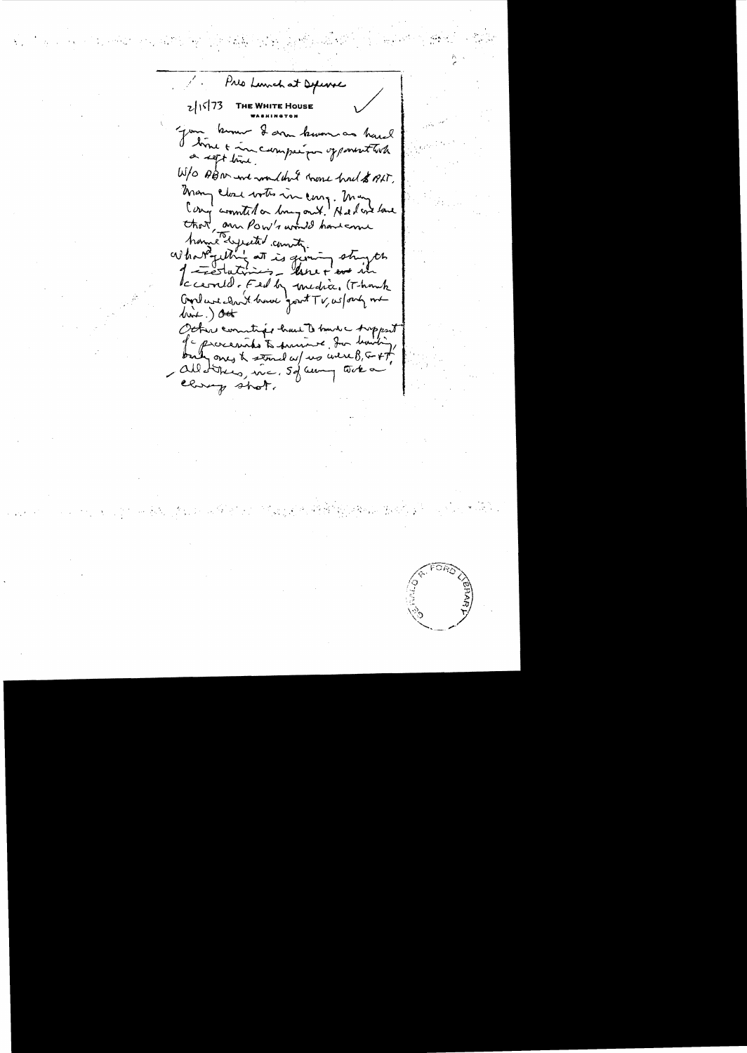Preo Lunch at Defense  $2|15|73$ **THE WHITE HOUSE** Jour komme I donne known as havel W/O ABN and wouldn't have had \$ ALT. many close water in cong. many Cong commited on long ont! He have love that, and Pow's would have and<br>home lyseted country stryth Iccerned. Fed by medice. (Thank Good we cloud home good TV, us forty me  $dimL.)$  out Octar conntige had to have troppent of a processible to primit for harding - Allotthers, inc. 50 aunq tode a closep shot.

 $\label{eq:2.1} \sum_{i=1}^n \left\{ \frac{1}{2} \left( \frac{1}{2} \sum_{i=1}^n \frac{1}{2} \sum_{i=1}^n \frac{1}{2} \sum_{i=1}^n \frac{1}{2} \sum_{i=1}^n \frac{1}{2} \sum_{i=1}^n \frac{1}{2} \sum_{i=1}^n \frac{1}{2} \sum_{i=1}^n \frac{1}{2} \sum_{i=1}^n \frac{1}{2} \sum_{i=1}^n \frac{1}{2} \sum_{i=1}^n \frac{1}{2} \sum_{i=1}^n \frac{1}{2} \sum_{i=$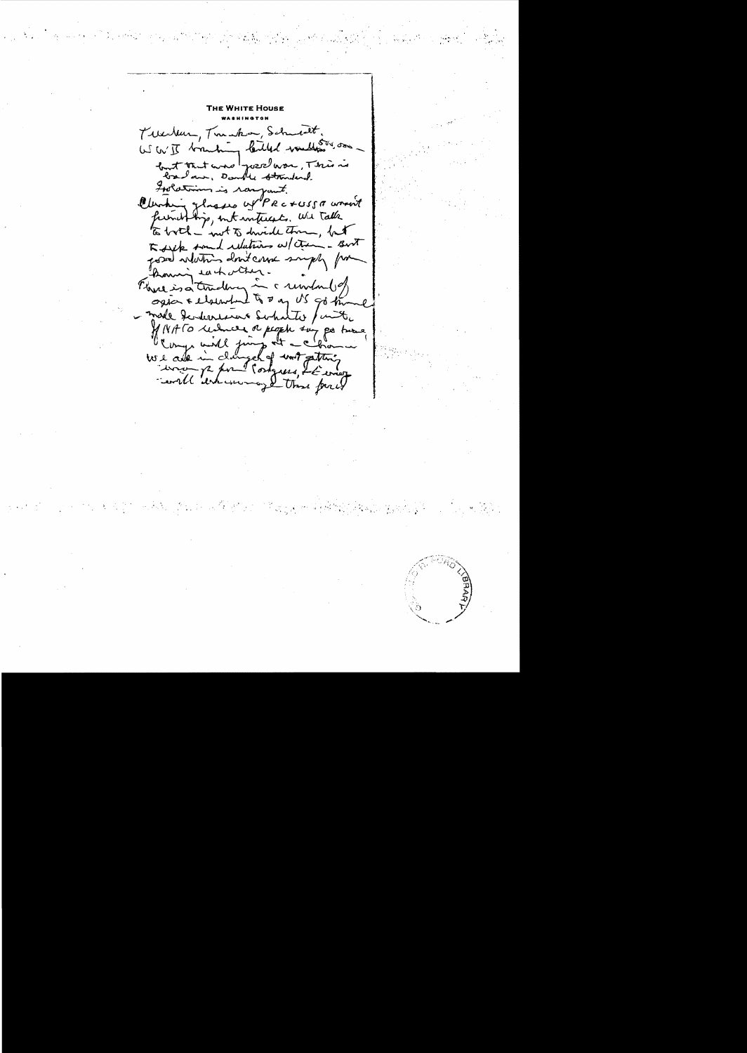Trebur, Tranha, Schneit. W W I branking lailed values on but that and your was, This is Inclusions is rangent. Clearting glasses of PRC+USSA wasn't funithing, internativents. We talk Todayk some delations w/ ctring - Bort posed whating don't came supply for koming eachother. Flore is a tradery in a underlies ogia & elsewhend to a go US go the - made development substite / unite WINATO reducer or people sur pa turned involt enter contras le concert

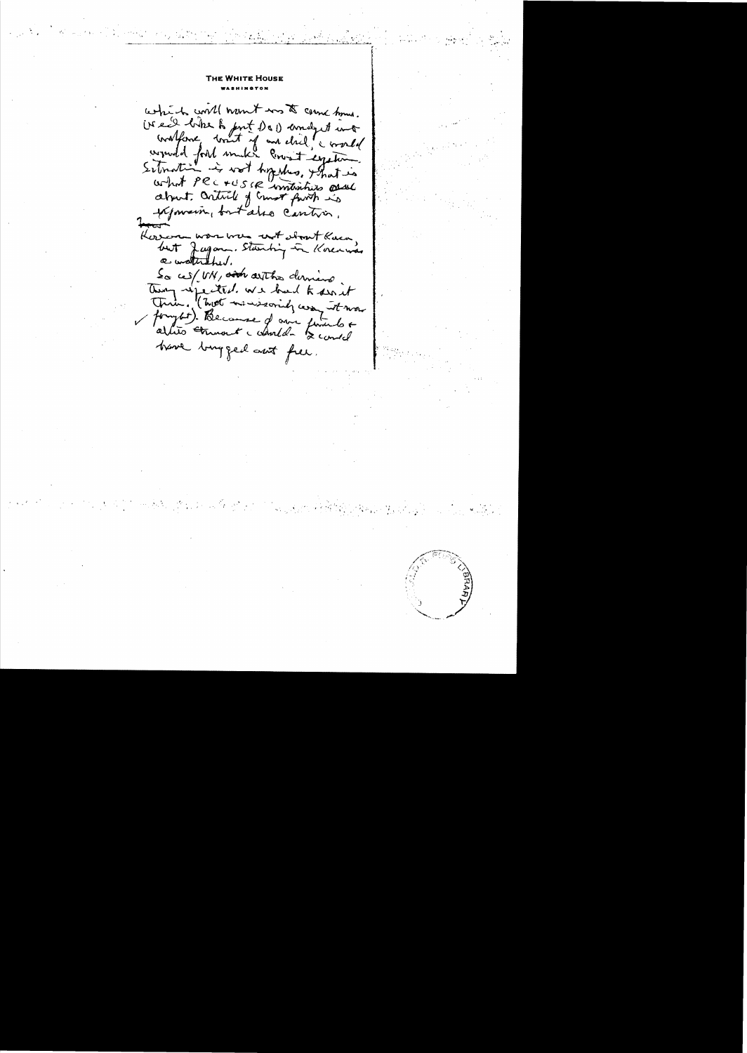## E WHITE HOUSE

which will namet was to come tome. iver like to put Do 1 and 1 int Grafford truth of and dried corresponded for the month of and dried correlation Koren was were not stant Kaca,<br>but Jagan Stanbing in Korenwas a waturned. So ces/ UN, and arthor division Then refected we had to sait True, (2008 manieroinely comment mon have longfed ant free.

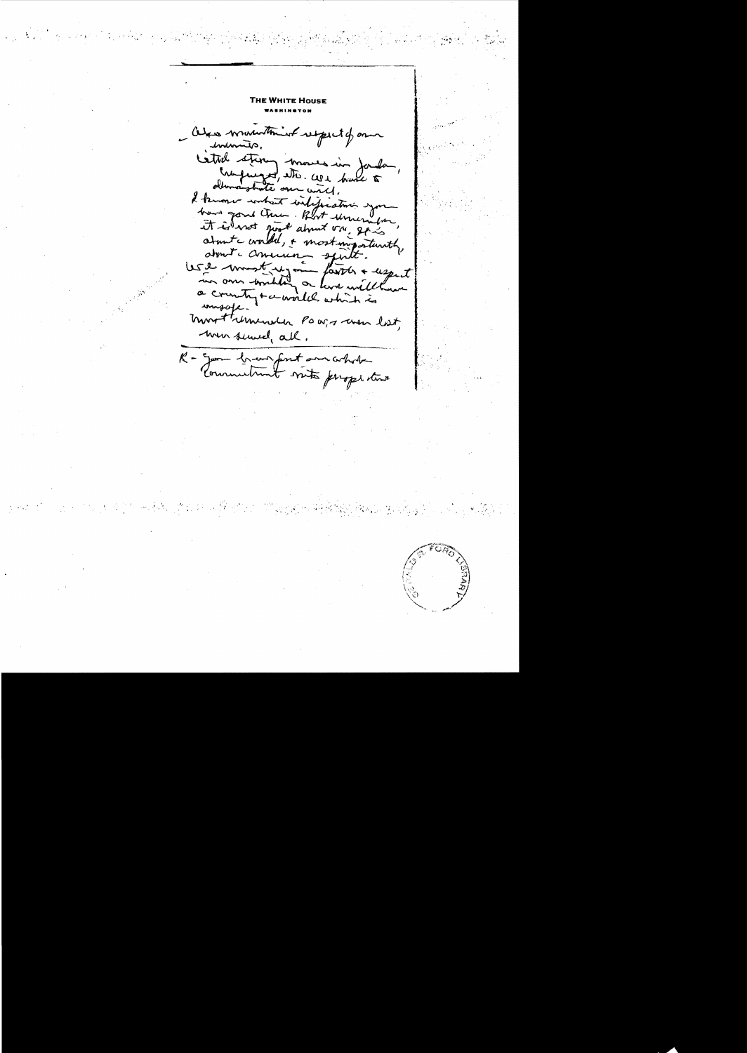THE WHITE HOUSE Otros winnerthing respect of our cated stermy moves in Jandar, What we get, also we have to dhomer strate over with, I know what inteperation you bare gone them. Blot unemper, it is not just about on go is about condit, + most importantly, ma omn somilitat or lever will have masofe. most umenta POW, s were last, men served, all. R - Jam brever font ann whole Commitment with properties

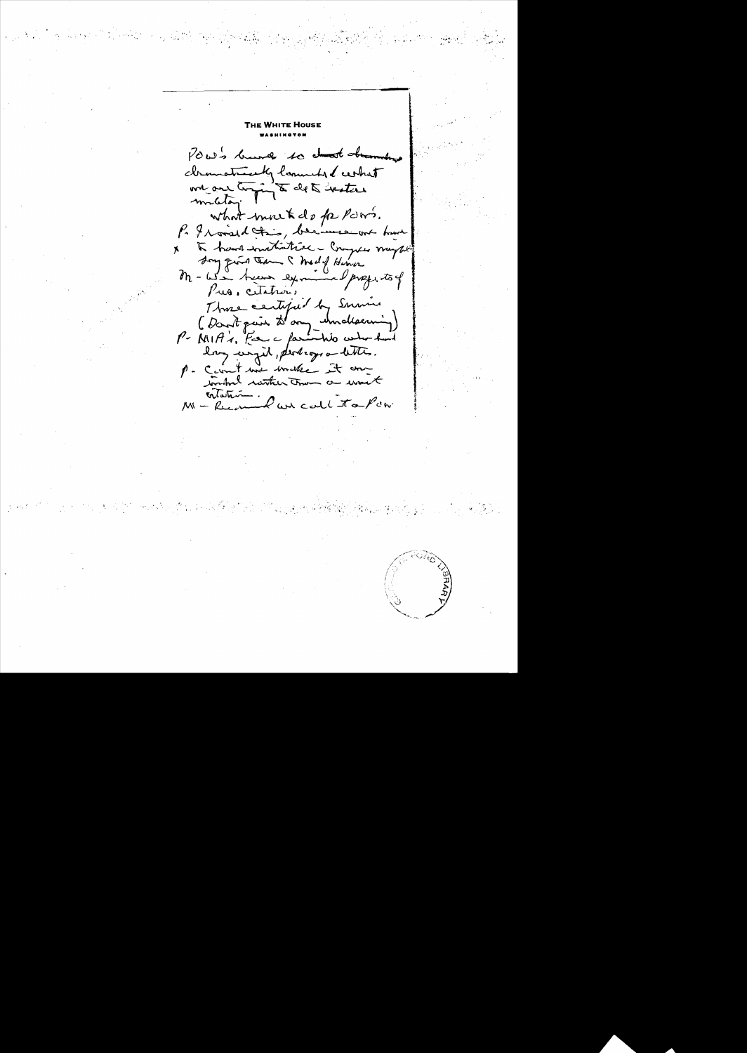POW's burne to about the malnao cleanotreaty lommet of certain one are toging to det thater what mouted for POWS. P. I would this, because out hand à hand instructive - Croyses maybe  $\mathbf{x}$ Song quite them I medil Himon M-We hear exmand profits of Those certified by Sumin (Don't pair d'ony undersin)<br>P MIA's, Far a farmition entre huit lay wrigh, perhaps a letter. p. Carnet more invaler it and catation.<br>M - Recommend we call to Pow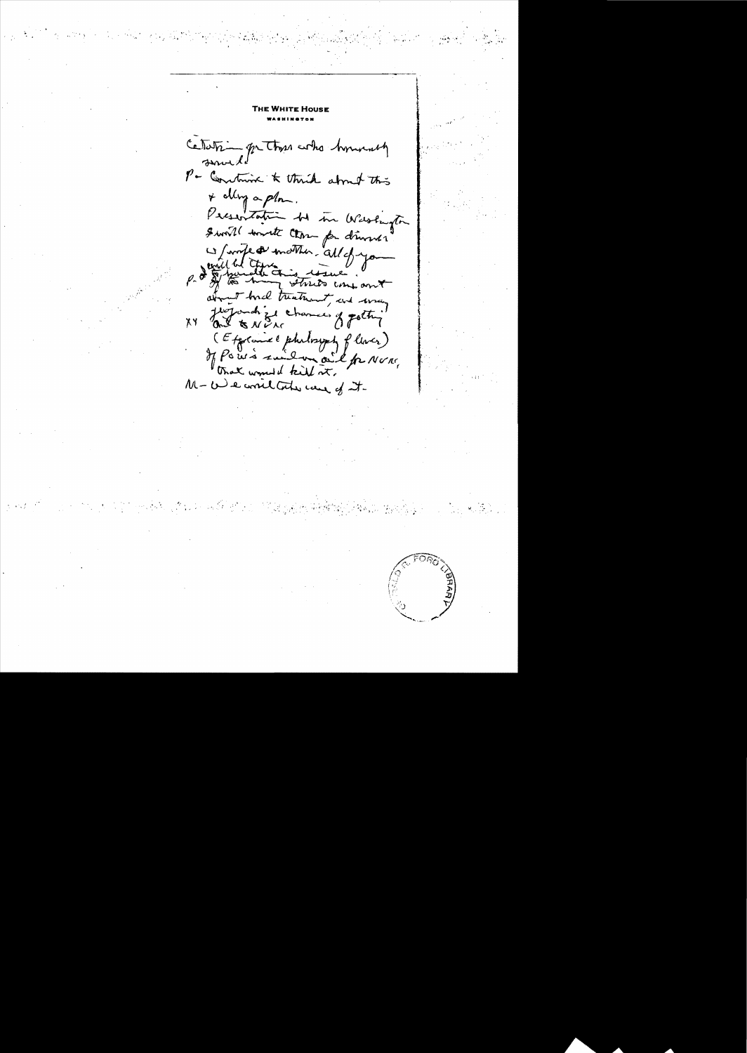Cetatrica genthan who homenty P - Constraint & thick about this \* alleg a plom. Pecsentation be in Washington Swill worst Close par dinner p. I trull we with this well. I about trial treatment, and way (Explorate philosoph place)<br>If Pow's suit on oil fr None, M- We write the case of it.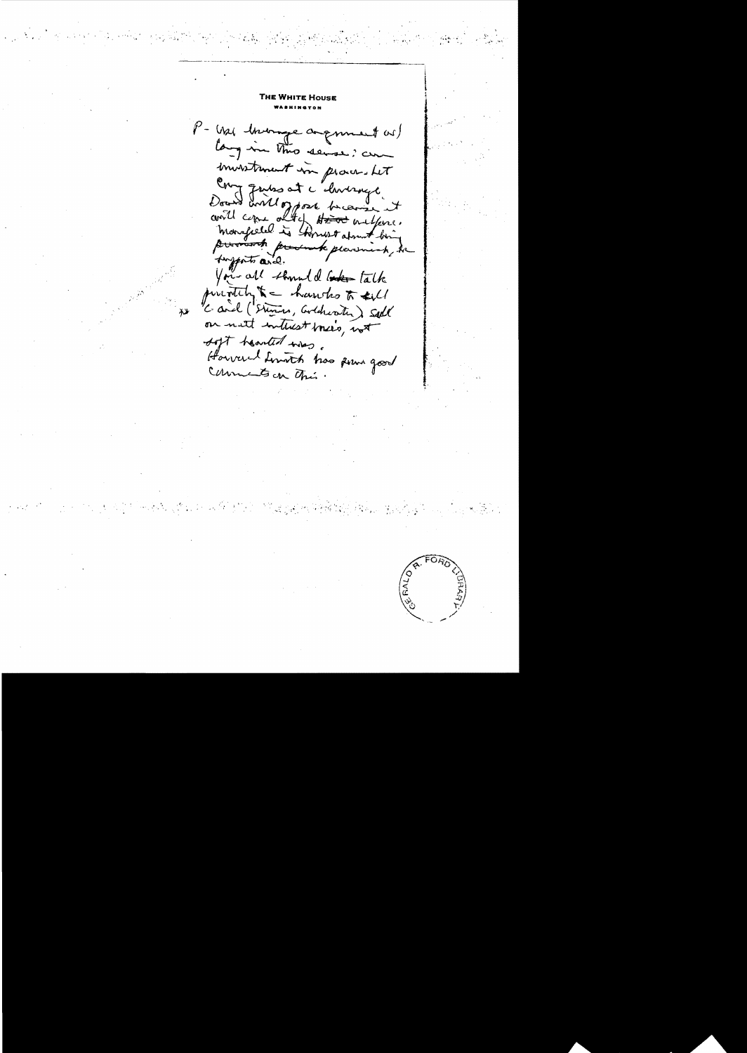THE WHITE House P- Was howing argument as) lang in this sense, com investment in proven. Let Comptentes et c'huange toports and. You all should be talk purnitch, & - hands to sell Card (Stevens, Cooldwater) sell on not interest mees, not soft houted was. Howered Limith has some good Comments on This.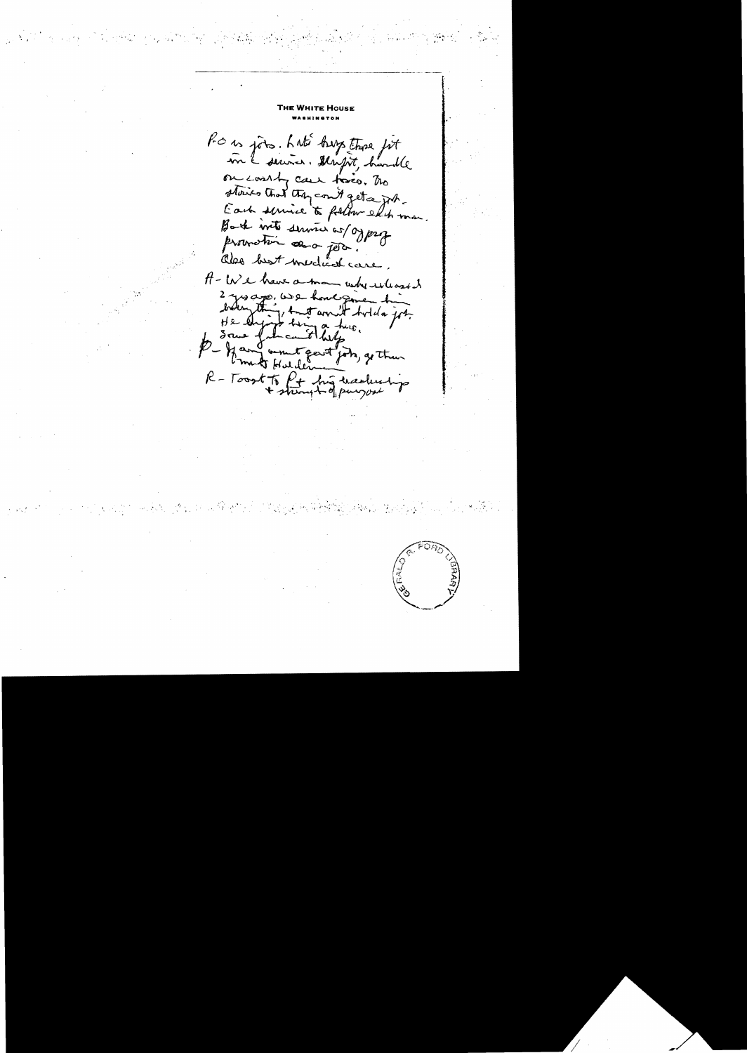Pour joins. L'uté happe trose fit on courty case force. The stories that they could get a job. Each service to follow edit man Back into service as/ogprof provection and poor! also best medical care. A- We have a man where was it 2 yes ago, was hone given time<br>brown thing to it and bold of the P - If and woment gent jobs, go then R-Toost to fit his traducting

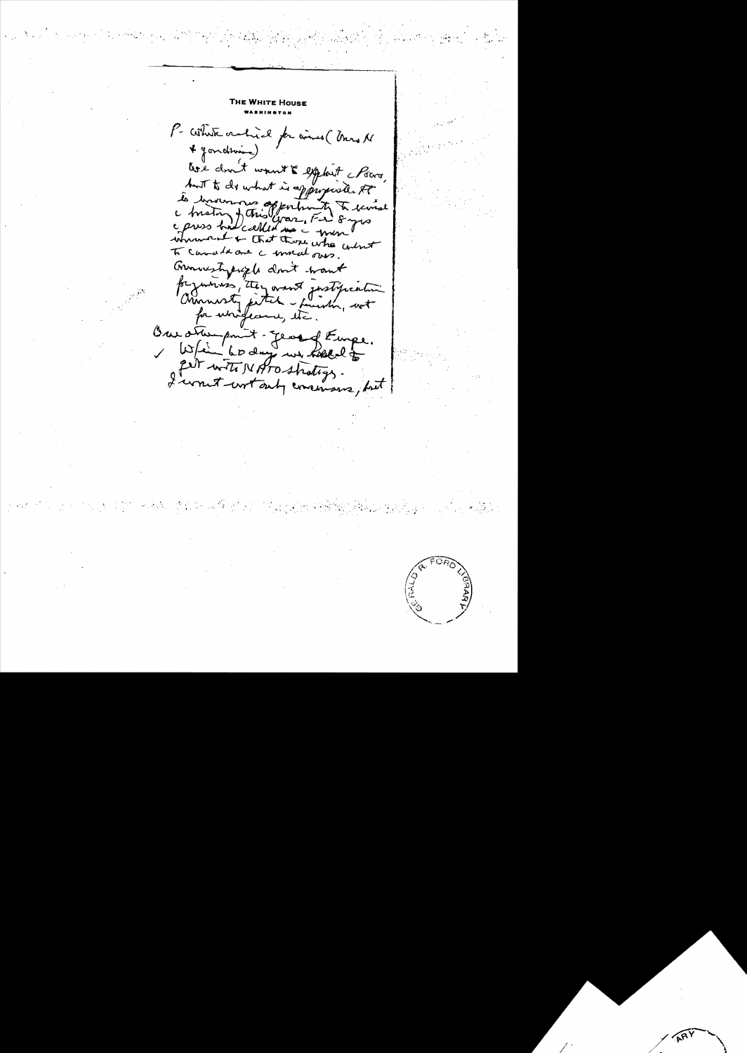**E WHITE HOUSE** P- Whate oralized for wines ( Unis N \* Jondroin) tre dont voust & exploit formes. but to do what is appropriate to to brown no opportunity to course war, Fri 8 yrs c press had called un innument + that those who what To cannot due a moral ours. Granustypique dont want for yourses, they want justification for unifecers, etc. Our other point - george Rempe. 1 When wo days we have to get with NATO stratings.

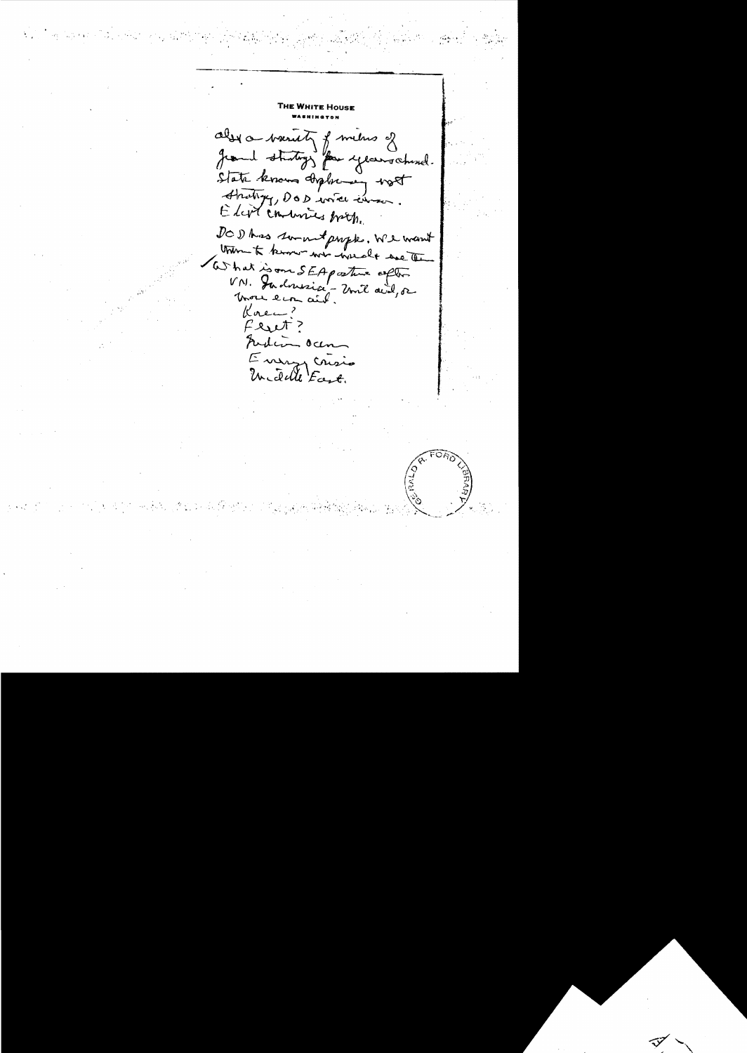also a venity of metro of grand sturtings for years ahered. State know diploming west Strating, DOD wie commen. Eliot combines broth. DOD has somewhat prople, We want Unimento know we work we the What is one SEA posture often Korea Feut? Funding ocen Enemy crisis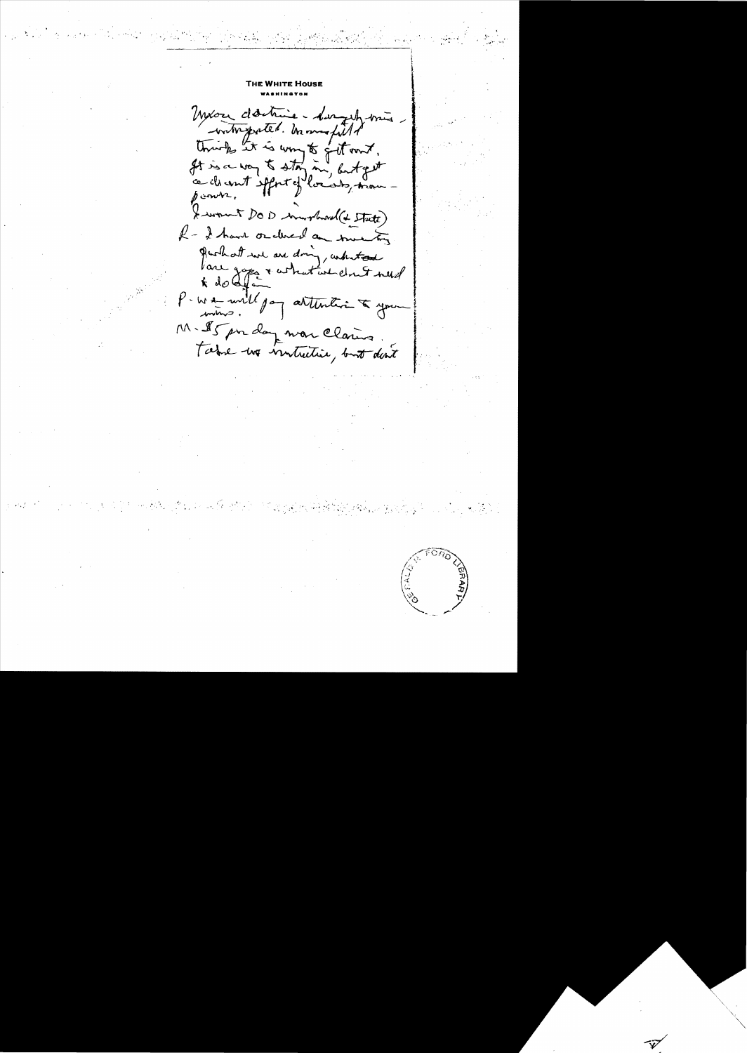Mixor destrie - disguty mis untreported. In mapilled It is a von to stay in, butget f convert. X wont DOD mortwood (& State) R - I have ordered an twenty Parhat une au dring, antestant P-We will pay attention to your M. Is pour dans mon claires.<br>Faire une ventuitier, but dont